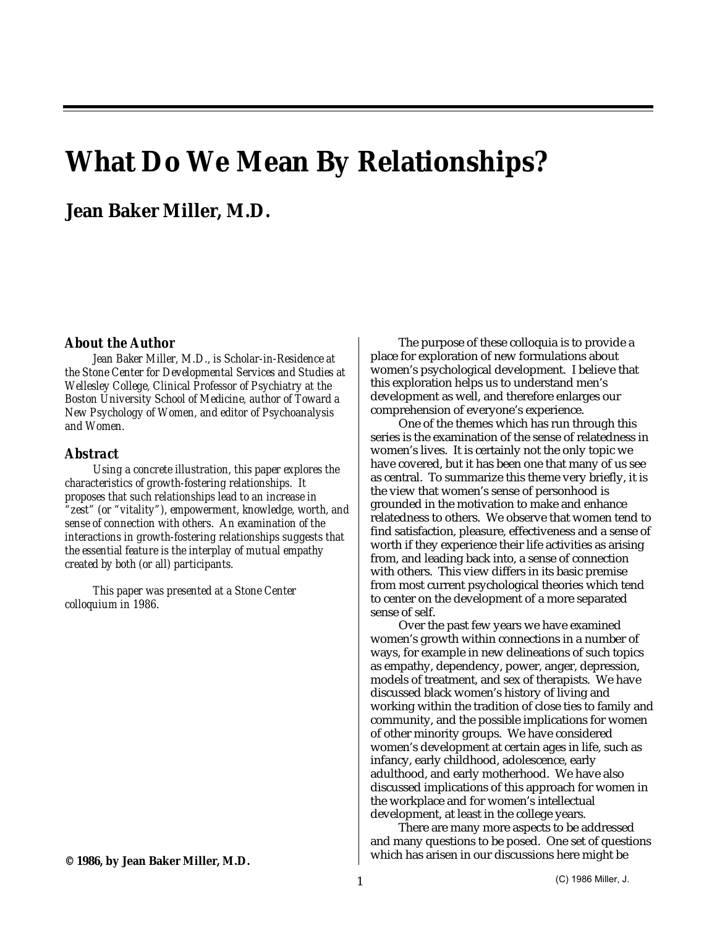# **What Do We Mean By Relationships?**

## **Jean Baker Miller, M.D.**

#### *About the Author*

*Jean Baker Miller, M.D., is Scholar-in-Residence at the Stone Center for Developmental Services and Studies at Wellesley College, Clinical Professor of Psychiatry at the Boston University School of Medicine, author of Toward a New Psychology of Women, and editor of Psychoanalysis and Women.*

### *Abstract*

*Using a concrete illustration, this paper explores the characteristics of growth-fostering relationships. It proposes that such relationships lead to an increase in "zest" (or "vitality"), empowerment, knowledge, worth, and sense of connection with others. An examination of the interactions in growth-fostering relationships suggests that the essential feature is the interplay of mutual empathy created by both (or all) participants.*

*This paper was presented at a Stone Center colloquium in 1986.*

The purpose of these colloquia is to provide a place for exploration of new formulations about women's psychological development. I believe that this exploration helps us to understand men's development as well, and therefore enlarges our comprehension of everyone's experience.

One of the themes which has run through this series is the examination of the sense of relatedness in women's lives. It is certainly not the only topic we have covered, but it has been one that many of us see as central. To summarize this theme very briefly, it is the view that women's sense of personhood is grounded in the motivation to make and enhance relatedness to others. We observe that women tend to find satisfaction, pleasure, effectiveness and a sense of worth if they experience their life activities as arising from, and leading back into, a sense of connection with others. This view differs in its basic premise from most current psychological theories which tend to center on the development of a more separated sense of self.

Over the past few years we have examined women's growth within connections in a number of ways, for example in new delineations of such topics as empathy, dependency, power, anger, depression, models of treatment, and sex of therapists. We have discussed black women's history of living and working within the tradition of close ties to family and community, and the possible implications for women of other minority groups. We have considered women's development at certain ages in life, such as infancy, early childhood, adolescence, early adulthood, and early motherhood. We have also discussed implications of this approach for women in the workplace and for women's intellectual development, at least in the college years.

There are many more aspects to be addressed and many questions to be posed. One set of questions which has arisen in our discussions here might be